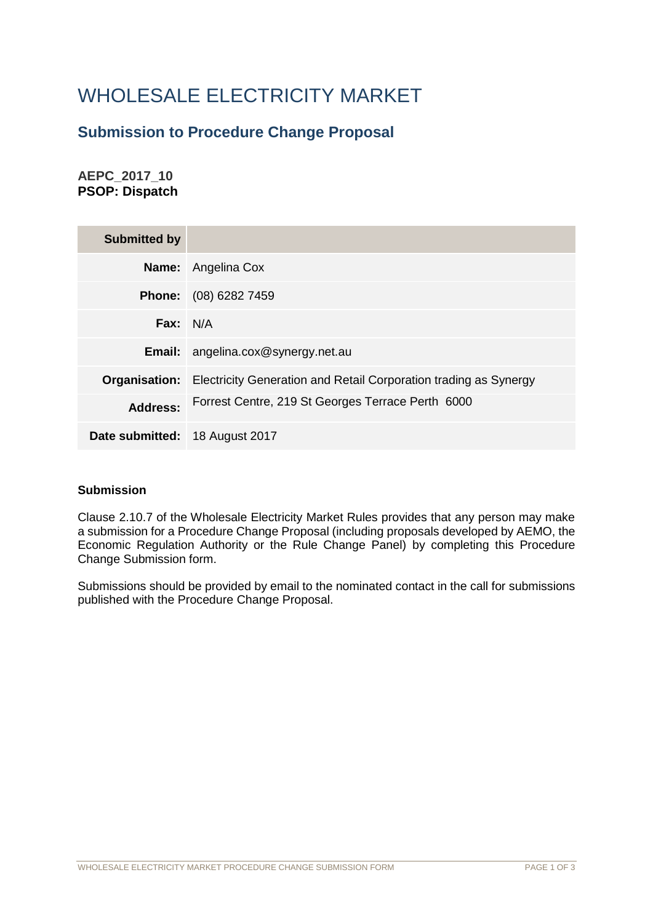# WHOLESALE ELECTRICITY MARKET

## **Submission to Procedure Change Proposal**

**AEPC\_2017\_10 PSOP: Dispatch**

| <b>Submitted by</b>            |                                                                  |
|--------------------------------|------------------------------------------------------------------|
|                                | <b>Name:</b> Angelina Cox                                        |
| <b>Phone:</b>                  | (08) 6282 7459                                                   |
| Fax: $N/A$                     |                                                                  |
| Email:                         | angelina.cox@synergy.net.au                                      |
| Organisation:                  | Electricity Generation and Retail Corporation trading as Synergy |
| <b>Address:</b>                | Forrest Centre, 219 St Georges Terrace Perth 6000                |
| Date submitted: 18 August 2017 |                                                                  |

### **Submission**

Clause 2.10.7 of the Wholesale Electricity Market Rules provides that any person may make a submission for a Procedure Change Proposal (including proposals developed by AEMO, the Economic Regulation Authority or the Rule Change Panel) by completing this Procedure Change Submission form.

Submissions should be provided by email to the nominated contact in the call for submissions published with the Procedure Change Proposal.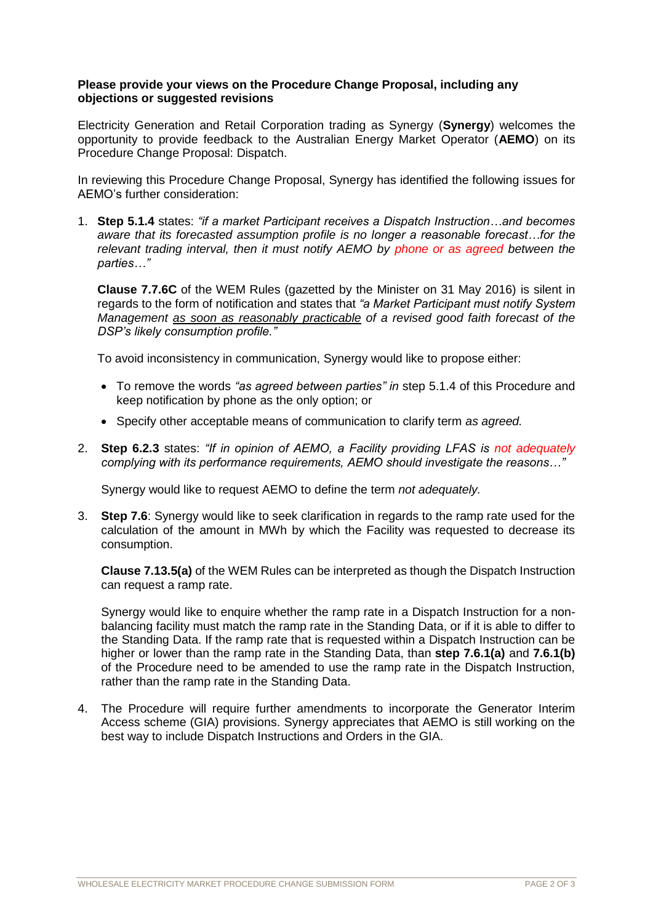#### **Please provide your views on the Procedure Change Proposal, including any objections or suggested revisions**

Electricity Generation and Retail Corporation trading as Synergy (**Synergy**) welcomes the opportunity to provide feedback to the Australian Energy Market Operator (**AEMO**) on its Procedure Change Proposal: Dispatch.

In reviewing this Procedure Change Proposal, Synergy has identified the following issues for AEMO's further consideration:

1. **Step 5.1.4** states: *"if a market Participant receives a Dispatch Instruction…and becomes aware that its forecasted assumption profile is no longer a reasonable forecast…for the relevant trading interval, then it must notify AEMO by phone or as agreed between the parties…"* 

**Clause 7.7.6C** of the WEM Rules (gazetted by the Minister on 31 May 2016) is silent in regards to the form of notification and states that *"a Market Participant must notify System Management as soon as reasonably practicable of a revised good faith forecast of the DSP's likely consumption profile."*

To avoid inconsistency in communication, Synergy would like to propose either:

- To remove the words *"as agreed between parties" in* step 5.1.4 of this Procedure and keep notification by phone as the only option; or
- Specify other acceptable means of communication to clarify term *as agreed.*
- 2. **Step 6.2.3** states: *"If in opinion of AEMO, a Facility providing LFAS is not adequately complying with its performance requirements, AEMO should investigate the reasons…"*

Synergy would like to request AEMO to define the term *not adequately.*

3. **Step 7.6**: Synergy would like to seek clarification in regards to the ramp rate used for the calculation of the amount in MWh by which the Facility was requested to decrease its consumption.

**Clause 7.13.5(a)** of the WEM Rules can be interpreted as though the Dispatch Instruction can request a ramp rate.

Synergy would like to enquire whether the ramp rate in a Dispatch Instruction for a nonbalancing facility must match the ramp rate in the Standing Data, or if it is able to differ to the Standing Data. If the ramp rate that is requested within a Dispatch Instruction can be higher or lower than the ramp rate in the Standing Data, than **step 7.6.1(a)** and **7.6.1(b)** of the Procedure need to be amended to use the ramp rate in the Dispatch Instruction, rather than the ramp rate in the Standing Data.

4. The Procedure will require further amendments to incorporate the Generator Interim Access scheme (GIA) provisions. Synergy appreciates that AEMO is still working on the best way to include Dispatch Instructions and Orders in the GIA.